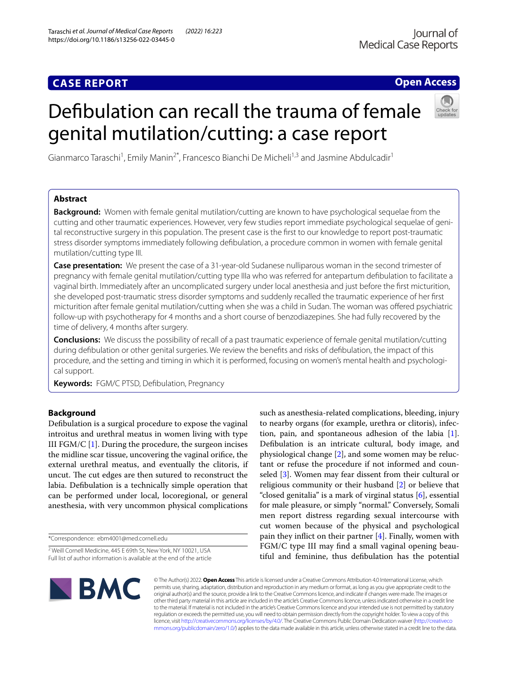# **CASE REPORT**

# **Open Access**

# Defbulation can recall the trauma of female genital mutilation/cutting: a case report



Gianmarco Taraschi<sup>1</sup>, Emily Manin<sup>2\*</sup>, Francesco Bianchi De Micheli<sup>1,3</sup> and Jasmine Abdulcadir<sup>1</sup>

# **Abstract**

**Background:** Women with female genital mutilation/cutting are known to have psychological sequelae from the cutting and other traumatic experiences. However, very few studies report immediate psychological sequelae of genital reconstructive surgery in this population. The present case is the frst to our knowledge to report post-traumatic stress disorder symptoms immediately following defbulation, a procedure common in women with female genital mutilation/cutting type III.

**Case presentation:** We present the case of a 31-year-old Sudanese nulliparous woman in the second trimester of pregnancy with female genital mutilation/cutting type IIIa who was referred for antepartum defbulation to facilitate a vaginal birth. Immediately after an uncomplicated surgery under local anesthesia and just before the frst micturition, she developed post-traumatic stress disorder symptoms and suddenly recalled the traumatic experience of her frst micturition after female genital mutilation/cutting when she was a child in Sudan. The woman was ofered psychiatric follow-up with psychotherapy for 4 months and a short course of benzodiazepines. She had fully recovered by the time of delivery, 4 months after surgery.

**Conclusions:** We discuss the possibility of recall of a past traumatic experience of female genital mutilation/cutting during defbulation or other genital surgeries. We review the benefts and risks of defbulation, the impact of this procedure, and the setting and timing in which it is performed, focusing on women's mental health and psychological support.

**Keywords:** FGM/C PTSD, Defbulation, Pregnancy

# **Background**

Defbulation is a surgical procedure to expose the vaginal introitus and urethral meatus in women living with type III FGM/C  $[1]$  $[1]$ . During the procedure, the surgeon incises the midline scar tissue, uncovering the vaginal orifce, the external urethral meatus, and eventually the clitoris, if uncut. The cut edges are then sutured to reconstruct the labia. Defbulation is a technically simple operation that can be performed under local, locoregional, or general anesthesia, with very uncommon physical complications

\*Correspondence: ebm4001@med.cornell.edu

such as anesthesia-related complications, bleeding, injury to nearby organs (for example, urethra or clitoris), infection, pain, and spontaneous adhesion of the labia  $[1]$  $[1]$ . Defbulation is an intricate cultural, body image, and physiological change  $[2]$  $[2]$ , and some women may be reluctant or refuse the procedure if not informed and counseled [\[3](#page-4-2)]. Women may fear dissent from their cultural or religious community or their husband [[2\]](#page-4-1) or believe that "closed genitalia" is a mark of virginal status [[6\]](#page-4-3), essential for male pleasure, or simply "normal." Conversely, Somali men report distress regarding sexual intercourse with cut women because of the physical and psychological pain they infict on their partner [\[4](#page-4-4)]. Finally, women with FGM/C type III may fnd a small vaginal opening beautiful and feminine, thus defbulation has the potential



© The Author(s) 2022. **Open Access** This article is licensed under a Creative Commons Attribution 4.0 International License, which permits use, sharing, adaptation, distribution and reproduction in any medium or format, as long as you give appropriate credit to the original author(s) and the source, provide a link to the Creative Commons licence, and indicate if changes were made. The images or other third party material in this article are included in the article's Creative Commons licence, unless indicated otherwise in a credit line to the material. If material is not included in the article's Creative Commons licence and your intended use is not permitted by statutory regulation or exceeds the permitted use, you will need to obtain permission directly from the copyright holder. To view a copy of this licence, visit [http://creativecommons.org/licenses/by/4.0/.](http://creativecommons.org/licenses/by/4.0/) The Creative Commons Public Domain Dedication waiver ([http://creativeco](http://creativecommons.org/publicdomain/zero/1.0/) [mmons.org/publicdomain/zero/1.0/](http://creativecommons.org/publicdomain/zero/1.0/)) applies to the data made available in this article, unless otherwise stated in a credit line to the data.

<sup>2</sup> Weill Cornell Medicine, 445 E 69th St, New York, NY 10021, USA Full list of author information is available at the end of the article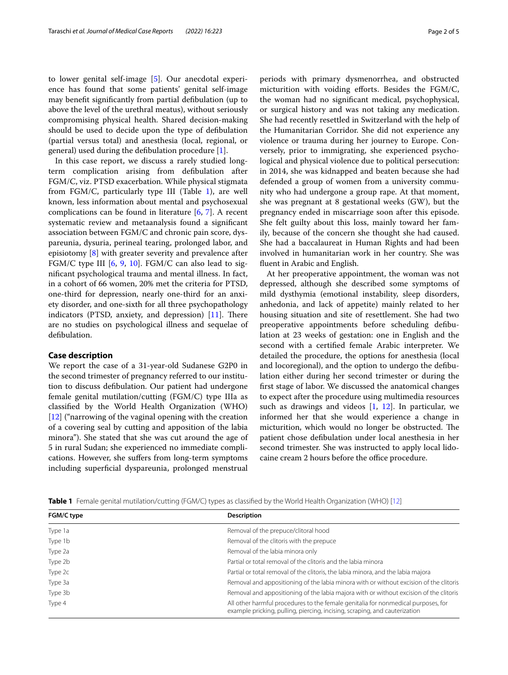to lower genital self-image [\[5\]](#page-4-5). Our anecdotal experience has found that some patients' genital self-image may beneft signifcantly from partial defbulation (up to above the level of the urethral meatus), without seriously compromising physical health. Shared decision-making should be used to decide upon the type of defbulation (partial versus total) and anesthesia (local, regional, or general) used during the defbulation procedure [\[1](#page-4-0)].

In this case report, we discuss a rarely studied longterm complication arising from defbulation after FGM/C, viz. PTSD exacerbation. While physical stigmata from FGM/C, particularly type III (Table [1](#page-1-0)), are well known, less information about mental and psychosexual complications can be found in literature  $[6, 7]$  $[6, 7]$  $[6, 7]$  $[6, 7]$ . A recent systematic review and metaanalysis found a signifcant association between FGM/C and chronic pain score, dyspareunia, dysuria, perineal tearing, prolonged labor, and episiotomy [[8\]](#page-4-7) with greater severity and prevalence after FGM/C type III [\[6](#page-4-3), [9,](#page-4-8) [10](#page-4-9)]. FGM/C can also lead to signifcant psychological trauma and mental illness. In fact, in a cohort of 66 women, 20% met the criteria for PTSD, one-third for depression, nearly one-third for an anxiety disorder, and one-sixth for all three psychopathology indicators (PTSD, anxiety, and depression)  $[11]$ . There are no studies on psychological illness and sequelae of defbulation.

# **Case description**

We report the case of a 31-year-old Sudanese G2P0 in the second trimester of pregnancy referred to our institution to discuss defbulation. Our patient had undergone female genital mutilation/cutting (FGM/C) type IIIa as classifed by the World Health Organization (WHO) [[12\]](#page-4-11) ("narrowing of the vaginal opening with the creation of a covering seal by cutting and apposition of the labia minora"). She stated that she was cut around the age of 5 in rural Sudan; she experienced no immediate complications. However, she sufers from long-term symptoms including superfcial dyspareunia, prolonged menstrual periods with primary dysmenorrhea, and obstructed micturition with voiding eforts. Besides the FGM/C, the woman had no signifcant medical, psychophysical, or surgical history and was not taking any medication. She had recently resettled in Switzerland with the help of the Humanitarian Corridor. She did not experience any violence or trauma during her journey to Europe. Conversely, prior to immigrating, she experienced psychological and physical violence due to political persecution: in 2014, she was kidnapped and beaten because she had defended a group of women from a university community who had undergone a group rape. At that moment, she was pregnant at 8 gestational weeks (GW), but the pregnancy ended in miscarriage soon after this episode. She felt guilty about this loss, mainly toward her family, because of the concern she thought she had caused. She had a baccalaureat in Human Rights and had been involved in humanitarian work in her country. She was fuent in Arabic and English.

At her preoperative appointment, the woman was not depressed, although she described some symptoms of mild dysthymia (emotional instability, sleep disorders, anhedonia, and lack of appetite) mainly related to her housing situation and site of resettlement. She had two preoperative appointments before scheduling defbulation at 23 weeks of gestation: one in English and the second with a certifed female Arabic interpreter. We detailed the procedure, the options for anesthesia (local and locoregional), and the option to undergo the defbulation either during her second trimester or during the frst stage of labor. We discussed the anatomical changes to expect after the procedure using multimedia resources such as drawings and videos  $[1, 12]$  $[1, 12]$  $[1, 12]$ . In particular, we informed her that she would experience a change in micturition, which would no longer be obstructed. The patient chose defbulation under local anesthesia in her second trimester. She was instructed to apply local lidocaine cream 2 hours before the office procedure.

<span id="page-1-0"></span>**Table 1** Female genital mutilation/cutting (FGM/C) types as classifed by the World Health Organization (WHO) [\[12\]](#page-4-11)

| FGM/C type | <b>Description</b>                                                                                                                                              |
|------------|-----------------------------------------------------------------------------------------------------------------------------------------------------------------|
| Type 1a    | Removal of the prepuce/clitoral hood                                                                                                                            |
| Type 1b    | Removal of the clitoris with the prepuce                                                                                                                        |
| Type 2a    | Removal of the labia minora only                                                                                                                                |
| Type 2b    | Partial or total removal of the clitoris and the labia minora                                                                                                   |
| Type 2c    | Partial or total removal of the clitoris, the labia minora, and the labia majora                                                                                |
| Type 3a    | Removal and appositioning of the labia minora with or without excision of the clitoris                                                                          |
| Type 3b    | Removal and appositioning of the labia majora with or without excision of the clitoris                                                                          |
| Type 4     | All other harmful procedures to the female genitalia for nonmedical purposes, for<br>example pricking, pulling, piercing, incising, scraping, and cauterization |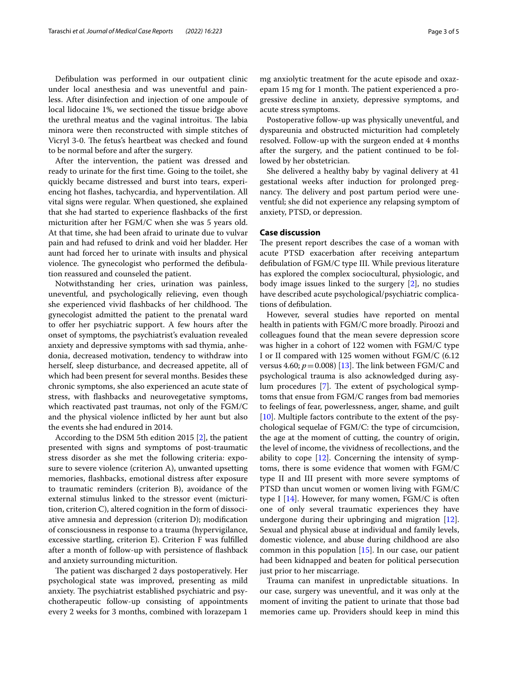Defbulation was performed in our outpatient clinic under local anesthesia and was uneventful and painless. After disinfection and injection of one ampoule of local lidocaine 1%, we sectioned the tissue bridge above the urethral meatus and the vaginal introitus. The labia minora were then reconstructed with simple stitches of Vicryl 3-0. The fetus's heartbeat was checked and found to be normal before and after the surgery.

After the intervention, the patient was dressed and ready to urinate for the frst time. Going to the toilet, she quickly became distressed and burst into tears, experiencing hot fashes, tachycardia, and hyperventilation. All vital signs were regular. When questioned, she explained that she had started to experience fashbacks of the frst micturition after her FGM/C when she was 5 years old. At that time, she had been afraid to urinate due to vulvar pain and had refused to drink and void her bladder. Her aunt had forced her to urinate with insults and physical violence. The gynecologist who performed the defibulation reassured and counseled the patient.

Notwithstanding her cries, urination was painless, uneventful, and psychologically relieving, even though she experienced vivid flashbacks of her childhood. The gynecologist admitted the patient to the prenatal ward to offer her psychiatric support. A few hours after the onset of symptoms, the psychiatrist's evaluation revealed anxiety and depressive symptoms with sad thymia, anhedonia, decreased motivation, tendency to withdraw into herself, sleep disturbance, and decreased appetite, all of which had been present for several months. Besides these chronic symptoms, she also experienced an acute state of stress, with fashbacks and neurovegetative symptoms, which reactivated past traumas, not only of the FGM/C and the physical violence inficted by her aunt but also the events she had endured in 2014.

According to the DSM 5th edition 2015 [\[2](#page-4-1)], the patient presented with signs and symptoms of post-traumatic stress disorder as she met the following criteria: exposure to severe violence (criterion A), unwanted upsetting memories, fashbacks, emotional distress after exposure to traumatic reminders (criterion B), avoidance of the external stimulus linked to the stressor event (micturition, criterion C), altered cognition in the form of dissociative amnesia and depression (criterion D); modifcation of consciousness in response to a trauma (hypervigilance, excessive startling, criterion E). Criterion F was fulflled after a month of follow-up with persistence of fashback and anxiety surrounding micturition.

The patient was discharged 2 days postoperatively. Her psychological state was improved, presenting as mild anxiety. The psychiatrist established psychiatric and psychotherapeutic follow-up consisting of appointments every 2 weeks for 3 months, combined with lorazepam 1

mg anxiolytic treatment for the acute episode and oxazepam 15 mg for 1 month. The patient experienced a progressive decline in anxiety, depressive symptoms, and

Postoperative follow-up was physically uneventful, and dyspareunia and obstructed micturition had completely resolved. Follow-up with the surgeon ended at 4 months after the surgery, and the patient continued to be followed by her obstetrician.

She delivered a healthy baby by vaginal delivery at 41 gestational weeks after induction for prolonged pregnancy. The delivery and post partum period were uneventful; she did not experience any relapsing symptom of anxiety, PTSD, or depression.

## **Case discussion**

acute stress symptoms.

The present report describes the case of a woman with acute PTSD exacerbation after receiving antepartum defbulation of FGM/C type III. While previous literature has explored the complex sociocultural, physiologic, and body image issues linked to the surgery [\[2](#page-4-1)], no studies have described acute psychological/psychiatric complications of defbulation.

However, several studies have reported on mental health in patients with FGM/C more broadly. Piroozi and colleagues found that the mean severe depression score was higher in a cohort of 122 women with FGM/C type I or II compared with 125 women without FGM/C (6.12 versus 4.60;  $p = 0.008$  [[13\]](#page-4-12). The link between FGM/C and psychological trauma is also acknowledged during asy-lum procedures [\[7\]](#page-4-6). The extent of psychological symptoms that ensue from FGM/C ranges from bad memories to feelings of fear, powerlessness, anger, shame, and guilt [[10\]](#page-4-9). Multiple factors contribute to the extent of the psychological sequelae of FGM/C: the type of circumcision, the age at the moment of cutting, the country of origin, the level of income, the vividness of recollections, and the ability to cope [[12\]](#page-4-11). Concerning the intensity of symptoms, there is some evidence that women with FGM/C type II and III present with more severe symptoms of PTSD than uncut women or women living with FGM/C type I  $[14]$  $[14]$ . However, for many women, FGM/C is often one of only several traumatic experiences they have undergone during their upbringing and migration [\[12](#page-4-11)]. Sexual and physical abuse at individual and family levels, domestic violence, and abuse during childhood are also common in this population  $[15]$  $[15]$  $[15]$ . In our case, our patient had been kidnapped and beaten for political persecution just prior to her miscarriage.

Trauma can manifest in unpredictable situations. In our case, surgery was uneventful, and it was only at the moment of inviting the patient to urinate that those bad memories came up. Providers should keep in mind this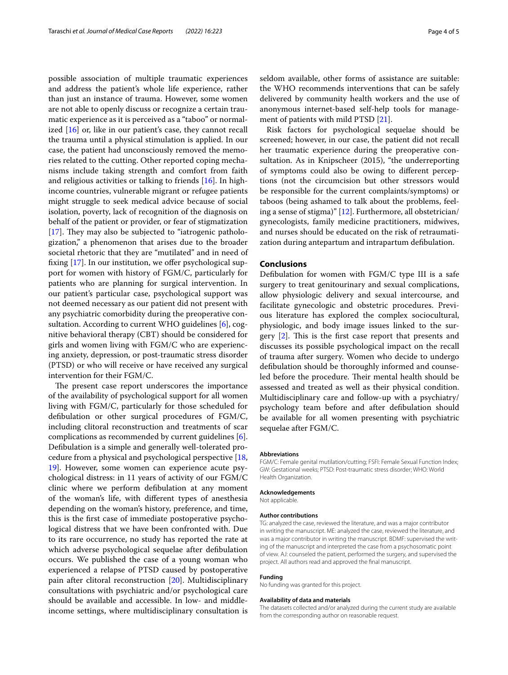possible association of multiple traumatic experiences and address the patient's whole life experience, rather than just an instance of trauma. However, some women are not able to openly discuss or recognize a certain traumatic experience as it is perceived as a "taboo" or normalized  $[16]$  or, like in our patient's case, they cannot recall the trauma until a physical stimulation is applied. In our case, the patient had unconsciously removed the memories related to the cutting. Other reported coping mechanisms include taking strength and comfort from faith and religious activities or talking to friends [\[16](#page-4-15)]. In highincome countries, vulnerable migrant or refugee patients might struggle to seek medical advice because of social isolation, poverty, lack of recognition of the diagnosis on behalf of the patient or provider, or fear of stigmatization  $[17]$  $[17]$ . They may also be subjected to "iatrogenic pathologization," a phenomenon that arises due to the broader societal rhetoric that they are "mutilated" and in need of fixing  $[17]$  $[17]$  $[17]$ . In our institution, we offer psychological support for women with history of FGM/C, particularly for patients who are planning for surgical intervention. In our patient's particular case, psychological support was not deemed necessary as our patient did not present with any psychiatric comorbidity during the preoperative consultation. According to current WHO guidelines [\[6\]](#page-4-3), cognitive behavioral therapy (CBT) should be considered for girls and women living with FGM/C who are experiencing anxiety, depression, or post-traumatic stress disorder (PTSD) or who will receive or have received any surgical intervention for their FGM/C.

The present case report underscores the importance of the availability of psychological support for all women living with FGM/C, particularly for those scheduled for defbulation or other surgical procedures of FGM/C, including clitoral reconstruction and treatments of scar complications as recommended by current guidelines [\[6](#page-4-3)]. Defbulation is a simple and generally well-tolerated procedure from a physical and psychological perspective [\[18](#page-4-17), [19\]](#page-4-18). However, some women can experience acute psychological distress: in 11 years of activity of our FGM/C clinic where we perform defbulation at any moment of the woman's life, with diferent types of anesthesia depending on the woman's history, preference, and time, this is the frst case of immediate postoperative psychological distress that we have been confronted with. Due to its rare occurrence, no study has reported the rate at which adverse psychological sequelae after defbulation occurs. We published the case of a young woman who experienced a relapse of PTSD caused by postoperative pain after clitoral reconstruction [[20\]](#page-4-19). Multidisciplinary consultations with psychiatric and/or psychological care should be available and accessible. In low- and middleincome settings, where multidisciplinary consultation is seldom available, other forms of assistance are suitable: the WHO recommends interventions that can be safely delivered by community health workers and the use of anonymous internet-based self-help tools for management of patients with mild PTSD [\[21\]](#page-4-20).

Risk factors for psychological sequelae should be screened; however, in our case, the patient did not recall her traumatic experience during the preoperative consultation. As in Knipscheer (2015), "the underreporting of symptoms could also be owing to diferent perceptions (not the circumcision but other stressors would be responsible for the current complaints/symptoms) or taboos (being ashamed to talk about the problems, feeling a sense of stigma)" [\[12](#page-4-11)]. Furthermore, all obstetrician/ gynecologists, family medicine practitioners, midwives, and nurses should be educated on the risk of retraumatization during antepartum and intrapartum defbulation.

# **Conclusions**

Defbulation for women with FGM/C type III is a safe surgery to treat genitourinary and sexual complications, allow physiologic delivery and sexual intercourse, and facilitate gynecologic and obstetric procedures. Previous literature has explored the complex sociocultural, physiologic, and body image issues linked to the surgery  $[2]$  $[2]$ . This is the first case report that presents and discusses its possible psychological impact on the recall of trauma after surgery. Women who decide to undergo defbulation should be thoroughly informed and counseled before the procedure. Their mental health should be assessed and treated as well as their physical condition. Multidisciplinary care and follow-up with a psychiatry/ psychology team before and after defbulation should be available for all women presenting with psychiatric sequelae after FGM/C.

#### **Abbreviations**

FGM/C: Female genital mutilation/cutting; FSFI: Female Sexual Function Index; GW: Gestational weeks; PTSD: Post-traumatic stress disorder; WHO: World Health Organization.

# **Acknowledgements**

Not applicable.

#### **Author contributions**

TG: analyzed the case, reviewed the literature, and was a major contributor in writing the manuscript. ME: analyzed the case, reviewed the literature, and was a major contributor in writing the manuscript. BDMF: supervised the writing of the manuscript and interpreted the case from a psychosomatic point of view. AJ: counseled the patient, performed the surgery, and supervised the project. All authors read and approved the fnal manuscript.

#### **Funding**

No funding was granted for this project.

#### **Availability of data and materials**

The datasets collected and/or analyzed during the current study are available from the corresponding author on reasonable request.